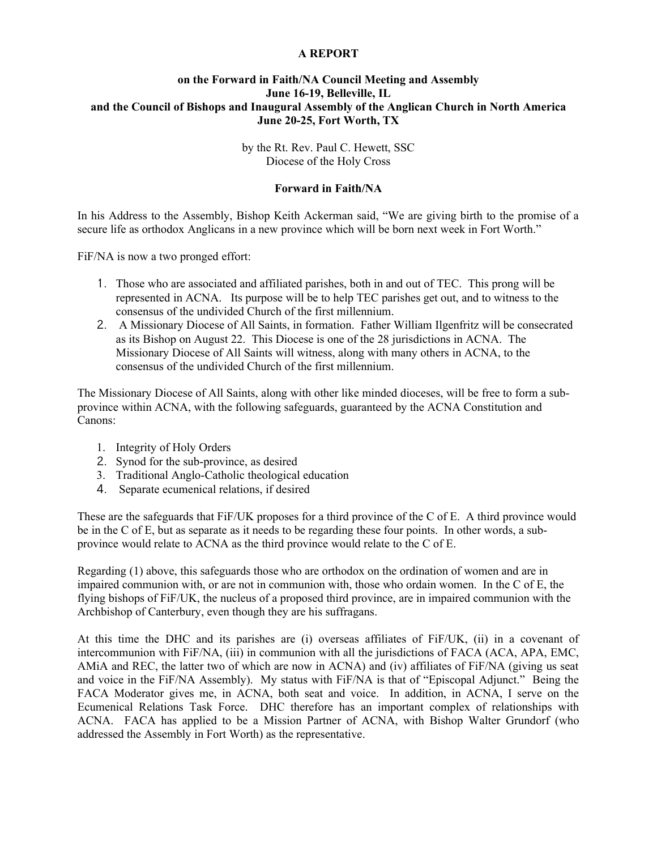## **A REPORT**

## **on the Forward in Faith/NA Council Meeting and Assembly June 16-19, Belleville, IL and the Council of Bishops and Inaugural Assembly of the Anglican Church in North America June 20-25, Fort Worth, TX**

by the Rt. Rev. Paul C. Hewett, SSC Diocese of the Holy Cross

## **Forward in Faith/NA**

In his Address to the Assembly, Bishop Keith Ackerman said, "We are giving birth to the promise of a secure life as orthodox Anglicans in a new province which will be born next week in Fort Worth."

FiF/NA is now a two pronged effort:

- 1. Those who are associated and affiliated parishes, both in and out of TEC. This prong will be represented in ACNA. Its purpose will be to help TEC parishes get out, and to witness to the consensus of the undivided Church of the first millennium.
- 2. A Missionary Diocese of All Saints, in formation. Father William Ilgenfritz will be consecrated as its Bishop on August 22. This Diocese is one of the 28 jurisdictions in ACNA. The Missionary Diocese of All Saints will witness, along with many others in ACNA, to the consensus of the undivided Church of the first millennium.

The Missionary Diocese of All Saints, along with other like minded dioceses, will be free to form a subprovince within ACNA, with the following safeguards, guaranteed by the ACNA Constitution and Canons:

- 1. Integrity of Holy Orders
- 2. Synod for the sub-province, as desired
- 3. Traditional Anglo-Catholic theological education
- 4. Separate ecumenical relations, if desired

These are the safeguards that FiF/UK proposes for a third province of the C of E. A third province would be in the C of E, but as separate as it needs to be regarding these four points. In other words, a subprovince would relate to ACNA as the third province would relate to the C of E.

Regarding (1) above, this safeguards those who are orthodox on the ordination of women and are in impaired communion with, or are not in communion with, those who ordain women. In the C of E, the flying bishops of FiF/UK, the nucleus of a proposed third province, are in impaired communion with the Archbishop of Canterbury, even though they are his suffragans.

At this time the DHC and its parishes are (i) overseas affiliates of FiF/UK, (ii) in a covenant of intercommunion with FiF/NA, (iii) in communion with all the jurisdictions of FACA (ACA, APA, EMC, AMiA and REC, the latter two of which are now in ACNA) and (iv) affiliates of FiF/NA (giving us seat and voice in the FiF/NA Assembly). My status with FiF/NA is that of "Episcopal Adjunct." Being the FACA Moderator gives me, in ACNA, both seat and voice. In addition, in ACNA, I serve on the Ecumenical Relations Task Force. DHC therefore has an important complex of relationships with ACNA. FACA has applied to be a Mission Partner of ACNA, with Bishop Walter Grundorf (who addressed the Assembly in Fort Worth) as the representative.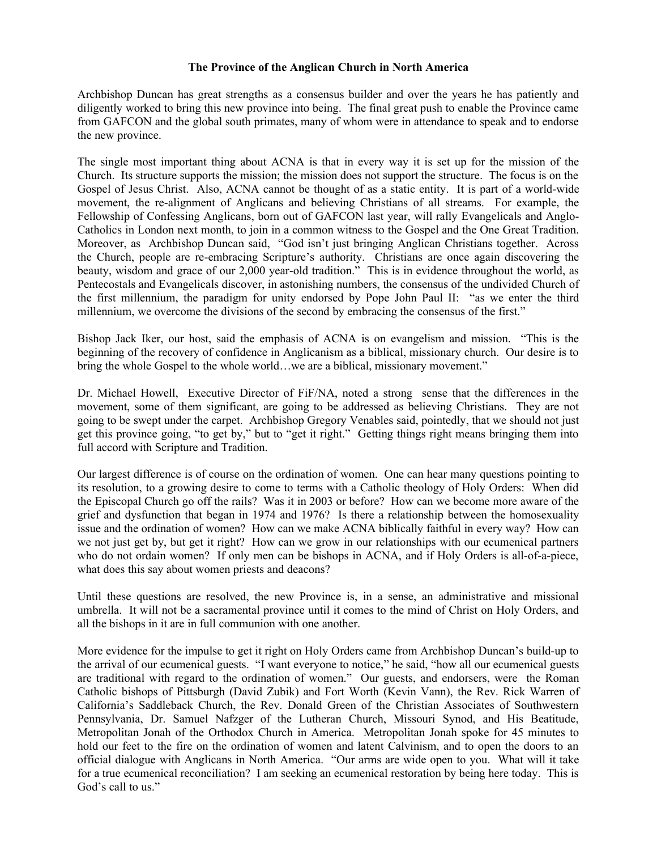## **The Province of the Anglican Church in North America**

Archbishop Duncan has great strengths as a consensus builder and over the years he has patiently and diligently worked to bring this new province into being. The final great push to enable the Province came from GAFCON and the global south primates, many of whom were in attendance to speak and to endorse the new province.

The single most important thing about ACNA is that in every way it is set up for the mission of the Church. Its structure supports the mission; the mission does not support the structure. The focus is on the Gospel of Jesus Christ. Also, ACNA cannot be thought of as a static entity. It is part of a world-wide movement, the re-alignment of Anglicans and believing Christians of all streams. For example, the Fellowship of Confessing Anglicans, born out of GAFCON last year, will rally Evangelicals and Anglo-Catholics in London next month, to join in a common witness to the Gospel and the One Great Tradition. Moreover, as Archbishop Duncan said, "God isn't just bringing Anglican Christians together. Across the Church, people are re-embracing Scripture's authority. Christians are once again discovering the beauty, wisdom and grace of our 2,000 year-old tradition." This is in evidence throughout the world, as Pentecostals and Evangelicals discover, in astonishing numbers, the consensus of the undivided Church of the first millennium, the paradigm for unity endorsed by Pope John Paul II: "as we enter the third millennium, we overcome the divisions of the second by embracing the consensus of the first."

Bishop Jack Iker, our host, said the emphasis of ACNA is on evangelism and mission. "This is the beginning of the recovery of confidence in Anglicanism as a biblical, missionary church. Our desire is to bring the whole Gospel to the whole world…we are a biblical, missionary movement."

Dr. Michael Howell, Executive Director of FiF/NA, noted a strong sense that the differences in the movement, some of them significant, are going to be addressed as believing Christians. They are not going to be swept under the carpet. Archbishop Gregory Venables said, pointedly, that we should not just get this province going, "to get by," but to "get it right." Getting things right means bringing them into full accord with Scripture and Tradition.

Our largest difference is of course on the ordination of women. One can hear many questions pointing to its resolution, to a growing desire to come to terms with a Catholic theology of Holy Orders: When did the Episcopal Church go off the rails? Was it in 2003 or before? How can we become more aware of the grief and dysfunction that began in 1974 and 1976? Is there a relationship between the homosexuality issue and the ordination of women? How can we make ACNA biblically faithful in every way? How can we not just get by, but get it right? How can we grow in our relationships with our ecumenical partners who do not ordain women? If only men can be bishops in ACNA, and if Holy Orders is all-of-a-piece, what does this say about women priests and deacons?

Until these questions are resolved, the new Province is, in a sense, an administrative and missional umbrella. It will not be a sacramental province until it comes to the mind of Christ on Holy Orders, and all the bishops in it are in full communion with one another.

More evidence for the impulse to get it right on Holy Orders came from Archbishop Duncan's build-up to the arrival of our ecumenical guests. "I want everyone to notice," he said, "how all our ecumenical guests are traditional with regard to the ordination of women." Our guests, and endorsers, were the Roman Catholic bishops of Pittsburgh (David Zubik) and Fort Worth (Kevin Vann), the Rev. Rick Warren of California's Saddleback Church, the Rev. Donald Green of the Christian Associates of Southwestern Pennsylvania, Dr. Samuel Nafzger of the Lutheran Church, Missouri Synod, and His Beatitude, Metropolitan Jonah of the Orthodox Church in America. Metropolitan Jonah spoke for 45 minutes to hold our feet to the fire on the ordination of women and latent Calvinism, and to open the doors to an official dialogue with Anglicans in North America. "Our arms are wide open to you. What will it take for a true ecumenical reconciliation? I am seeking an ecumenical restoration by being here today. This is God's call to us."